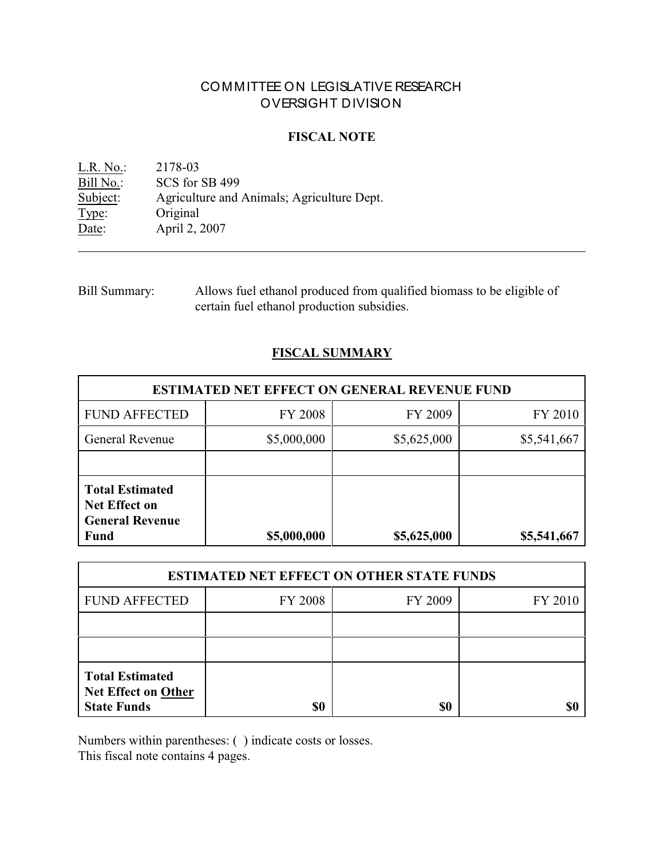# COMMITTEE ON LEGISLATIVE RESEARCH OVERSIGHT DIVISION

## **FISCAL NOTE**

<u>L.R. No.</u>: 2178-03<br>
<u>Bill No.</u>: SCS for Bill No.: SCS for SB 499<br>Subject: Agriculture and Subject: Agriculture and Animals; Agriculture Dept.<br>
Type: Original Original Date: **April 2, 2007** 

Bill Summary: Allows fuel ethanol produced from qualified biomass to be eligible of certain fuel ethanol production subsidies.

## **FISCAL SUMMARY**

| <b>ESTIMATED NET EFFECT ON GENERAL REVENUE FUND</b>                                     |                |                            |             |  |
|-----------------------------------------------------------------------------------------|----------------|----------------------------|-------------|--|
| <b>FUND AFFECTED</b>                                                                    | <b>FY 2008</b> | FY 2009                    | FY 2010     |  |
| <b>General Revenue</b>                                                                  | \$5,000,000    | \$5,625,000<br>\$5,541,667 |             |  |
|                                                                                         |                |                            |             |  |
| <b>Total Estimated</b><br><b>Net Effect on</b><br><b>General Revenue</b><br><b>Fund</b> | \$5,000,000    | \$5,625,000                | \$5,541,667 |  |

| <b>ESTIMATED NET EFFECT ON OTHER STATE FUNDS</b>                           |                |         |         |  |
|----------------------------------------------------------------------------|----------------|---------|---------|--|
| <b>FUND AFFECTED</b>                                                       | <b>FY 2008</b> | FY 2009 | FY 2010 |  |
|                                                                            |                |         |         |  |
|                                                                            |                |         |         |  |
| <b>Total Estimated</b><br><b>Net Effect on Other</b><br><b>State Funds</b> | \$0            | \$0     |         |  |

Numbers within parentheses: ( ) indicate costs or losses.

This fiscal note contains 4 pages.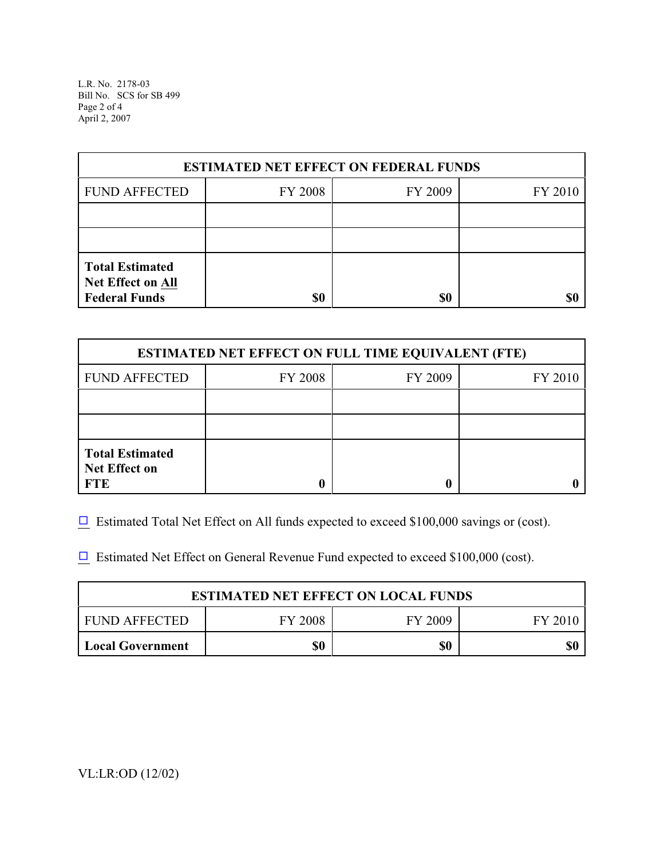L.R. No. 2178-03 Bill No. SCS for SB 499 Page 2 of 4 April 2, 2007

| <b>ESTIMATED NET EFFECT ON FEDERAL FUNDS</b>                        |         |         |         |  |
|---------------------------------------------------------------------|---------|---------|---------|--|
| <b>FUND AFFECTED</b>                                                | FY 2008 | FY 2009 | FY 2010 |  |
|                                                                     |         |         |         |  |
|                                                                     |         |         |         |  |
| <b>Total Estimated</b><br>Net Effect on All<br><b>Federal Funds</b> | \$0     | \$0     | \$0     |  |

| <b>ESTIMATED NET EFFECT ON FULL TIME EQUIVALENT (FTE)</b>    |         |         |         |  |
|--------------------------------------------------------------|---------|---------|---------|--|
| <b>FUND AFFECTED</b>                                         | FY 2008 | FY 2009 | FY 2010 |  |
|                                                              |         |         |         |  |
|                                                              |         |         |         |  |
| <b>Total Estimated</b><br><b>Net Effect on</b><br><b>FTE</b> |         |         |         |  |

 $\Box$  Estimated Total Net Effect on All funds expected to exceed \$100,000 savings or (cost).

 $\Box$  Estimated Net Effect on General Revenue Fund expected to exceed \$100,000 (cost).

| <b>ESTIMATED NET EFFECT ON LOCAL FUNDS</b> |                |         |         |  |
|--------------------------------------------|----------------|---------|---------|--|
| FUND AFFECTED                              | <b>FY 2008</b> | FY 2009 | FY 2010 |  |
| <b>Local Government</b>                    | \$0            | \$0     | \$0     |  |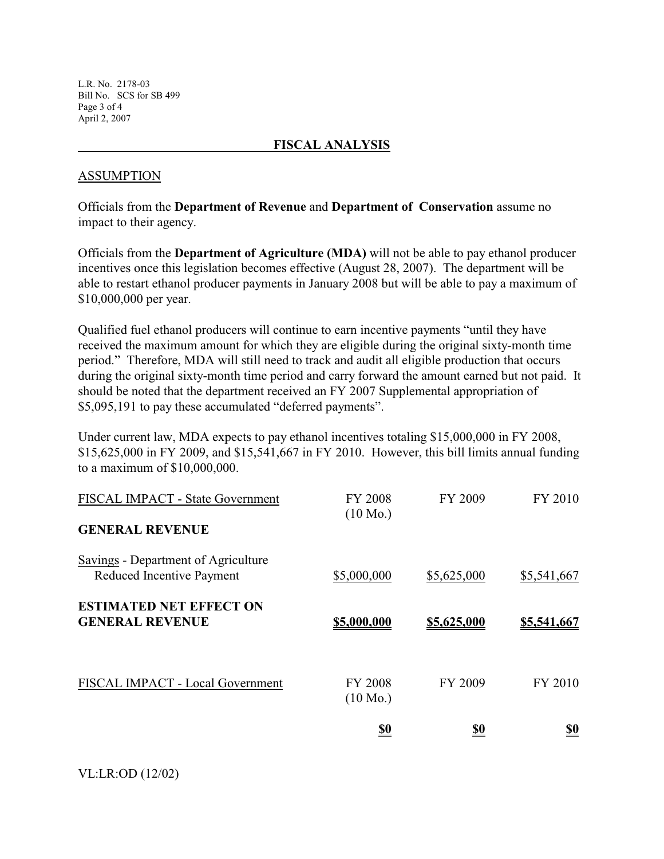L.R. No. 2178-03 Bill No. SCS for SB 499 Page 3 of 4 April 2, 2007

## **FISCAL ANALYSIS**

### ASSUMPTION

Officials from the **Department of Revenue** and **Department of Conservation** assume no impact to their agency.

Officials from the **Department of Agriculture (MDA)** will not be able to pay ethanol producer incentives once this legislation becomes effective (August 28, 2007). The department will be able to restart ethanol producer payments in January 2008 but will be able to pay a maximum of \$10,000,000 per year.

Qualified fuel ethanol producers will continue to earn incentive payments "until they have received the maximum amount for which they are eligible during the original sixty-month time period." Therefore, MDA will still need to track and audit all eligible production that occurs during the original sixty-month time period and carry forward the amount earned but not paid. It should be noted that the department received an FY 2007 Supplemental appropriation of \$5,095,191 to pay these accumulated "deferred payments".

Under current law, MDA expects to pay ethanol incentives totaling \$15,000,000 in FY 2008, \$15,625,000 in FY 2009, and \$15,541,667 in FY 2010. However, this bill limits annual funding to a maximum of \$10,000,000.

| FISCAL IMPACT - State Government                                 | <b>FY 2008</b><br>$(10 \text{ Mo.})$ | FY 2009     | FY 2010            |
|------------------------------------------------------------------|--------------------------------------|-------------|--------------------|
| <b>GENERAL REVENUE</b>                                           |                                      |             |                    |
| Savings - Department of Agriculture<br>Reduced Incentive Payment | \$5,000,000                          | \$5,625,000 | \$5,541,667        |
| <b>ESTIMATED NET EFFECT ON</b><br><b>GENERAL REVENUE</b>         | \$5,000,000                          | \$5,625,000 | <u>\$5,541,667</u> |
| FISCAL IMPACT - Local Government                                 | <b>FY 2008</b><br>$(10 \text{ Mo.})$ | FY 2009     | FY 2010            |
|                                                                  | <u>\$0</u>                           | <u>\$0</u>  | <u>\$0</u>         |

## VL:LR:OD (12/02)